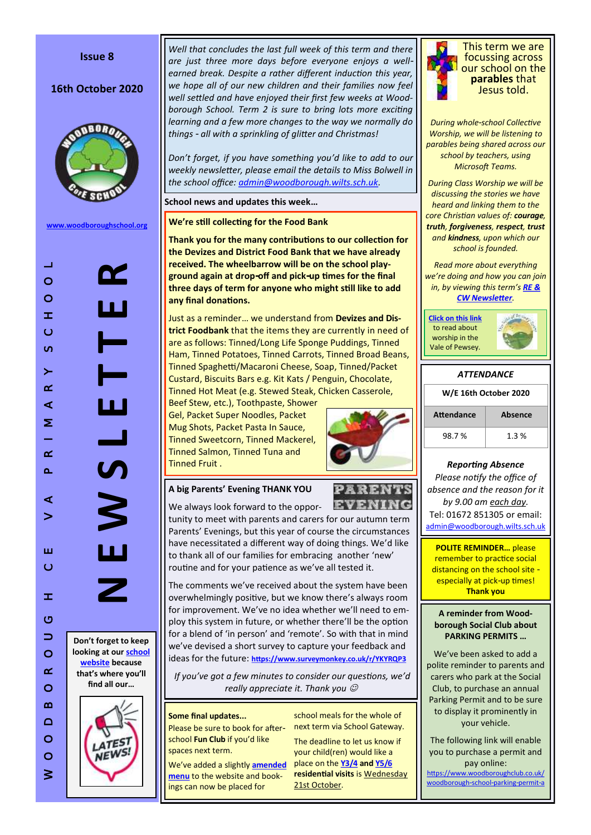### **Issue 8**

## 16th October 2020



**[www.woodboroughschool.org](https://woodboroughschool.org/)**

*Well that concludes the last full week of this term and there are just three more days before everyone enjoys a wellearned break. Despite a rather different induction this year, we hope all of our new children and their families now feel well settled and have enjoyed their first few weeks at Woodborough School. Term 2 is sure to bring lots more exciting learning and a few more changes to the way we normally do things - all with a sprinkling of glitter and Christmas!* 

*Don't forget, if you have something you'd like to add to our weekly newsletter, please email the details to Miss Bolwell in the school office: [admin@woodborough.wilts.sch.uk.](mailto:admin@woodborough.wilts.sch.uk)* 

**School news and updates this week…**

**We're still collecting for the Food Bank**

**Thank you for the many contributions to our collection for the Devizes and District Food Bank that we have already received. The wheelbarrow will be on the school playground again at drop-off and pick-up times for the final three days of term for anyone who might still like to add any final donations.**

Just as a reminder… we understand from **Devizes and District Foodbank** that the items they are currently in need of are as follows: Tinned/Long Life Sponge Puddings, Tinned Ham, Tinned Potatoes, Tinned Carrots, Tinned Broad Beans, Tinned Spaghetti/Macaroni Cheese, Soap, Tinned/Packet Custard, Biscuits Bars e.g. Kit Kats / Penguin, Chocolate, Tinned Hot Meat (e.g. Stewed Steak, Chicken Casserole,

Beef Stew, etc.), Toothpaste, Shower Gel, Packet Super Noodles, Packet Mug Shots, Packet Pasta In Sauce, Tinned Sweetcorn, Tinned Mackerel, Tinned Salmon, Tinned Tuna and Tinned Fruit .



EVENIN

## **A big Parents' Evening THANK YOU**

We always look forward to the oppor-

tunity to meet with parents and carers for our autumn term Parents' Evenings, but this year of course the circumstances have necessitated a different way of doing things. We'd like to thank all of our families for embracing another 'new' routine and for your patience as we've all tested it.

The comments we've received about the system have been overwhelmingly positive, but we know there's always room for improvement. We've no idea whether we'll need to employ this system in future, or whether there'll be the option for a blend of 'in person' and 'remote'. So with that in mind we've devised a short survey to capture your feedback and ideas for the future: **<https://www.surveymonkey.co.uk/r/YKYRQP3>**

*If you've got a few minutes to consider our questions, we'd really appreciate it. Thank you* 

#### **Some final updates...**

Please be sure to book for afterschool **Fun Club** if you'd like spaces next term.

We've added a slightly **[amended](https://woodboroughschool.org/wp-content/uploads/2020/10/Menu-Term-2.pdf)  [menu](https://woodboroughschool.org/wp-content/uploads/2020/10/Menu-Term-2.pdf)** to the website and bookings can now be placed for

school meals for the whole of next term via School Gateway.

The deadline to let us know if your child(ren) would like a place on the **[Y3/4](https://woodboroughschool.org/wp-content/uploads/2020/10/Y3-4-Residential-Visit-to-PGL-Liddington-Letter-for-Parents-Carers-October-2020.pdf) and [Y5/6](https://woodboroughschool.org/wp-content/uploads/2020/10/Y5-6-Residential-Visit-to-Rockley-Point-Letter-for-Parents-Carers-October-2020.pdf)  residential visits** is Wednesday 21st October.



This term we are focussing across our school on the **parables** that Jesus told.

*During whole-school Collective Worship, we will be listening to parables being shared across our school by teachers, using Microsoft Teams.* 

*During Class Worship we will be discussing the stories we have heard and linking them to the core Christian values of: courage, truth, forgiveness, respect, trust and kindness, upon which our school is founded.*

*Read more about everything we're doing and how you can join in, by viewing this term's [RE &](https://woodboroughschool.org/wp-content/uploads/2020/09/RE-NEWSLETTER-Autumn-1-2020-Parables.pdf)  [CW Newsletter](https://woodboroughschool.org/wp-content/uploads/2020/09/RE-NEWSLETTER-Autumn-1-2020-Parables.pdf).*

**[Click on this link](https://www.valeofpewsey.org/)** to read about worship in the Vale of Pewsey.



# *ATTENDANCE*

| W/E 16th October 2020 |         |  |  |
|-----------------------|---------|--|--|
| Attendance            | Absence |  |  |
| 98.7%                 | 1.3%    |  |  |

## *Reporting Absence*

*Please notify the office of absence and the reason for it by 9.00 am each day.*  Tel: 01672 851305 or email: [admin@woodborough.wilts.sch.uk](mailto:admin@woodborough.wilts.sch.uk)

**POLITE REMINDER…** please remember to practice social distancing on the school site especially at pick-up times! **Thank you**

**A reminder from Woodborough Social Club about PARKING PERMITS …**

We've been asked to add a polite reminder to parents and carers who park at the Social Club, to purchase an annual Parking Permit and to be sure to display it prominently in your vehicle.

The following link will enable you to purchase a permit and pay online:

[https://www.woodboroughclub.co.uk/](https://www.woodboroughclub.co.uk/woodborough-school-parking-permit-a) [woodborough-school-parking-permit-a](https://www.woodboroughclub.co.uk/woodborough-school-parking-permit-a)